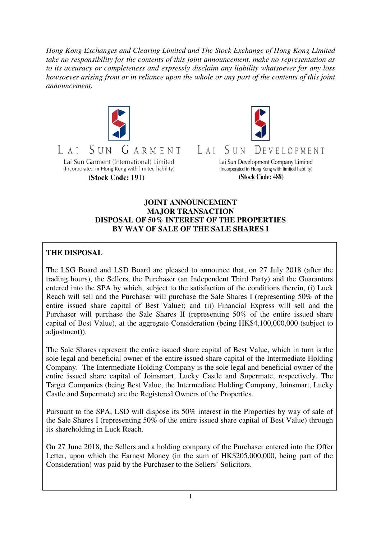*Hong Kong Exchanges and Clearing Limited and The Stock Exchange of Hong Kong Limited take no responsibility for the contents of this joint announcement, make no representation as to its accuracy or completeness and expressly disclaim any liability whatsoever for any loss howsoever arising from or in reliance upon the whole or any part of the contents of this joint announcement.* 



(Stock Code: 191)



LAI SUN DEVELOPMENT

> Lai Sun Development Company Limited (Incorporated in Hong Kong with limited liability) (Stock Code: 488)

# **JOINT ANNOUNCEMENT MAJOR TRANSACTION DISPOSAL OF 50% INTEREST OF THE PROPERTIES BY WAY OF SALE OF THE SALE SHARES I**

# **THE DISPOSAL**

The LSG Board and LSD Board are pleased to announce that, on 27 July 2018 (after the trading hours), the Sellers, the Purchaser (an Independent Third Party) and the Guarantors entered into the SPA by which, subject to the satisfaction of the conditions therein, (i) Luck Reach will sell and the Purchaser will purchase the Sale Shares I (representing 50% of the entire issued share capital of Best Value); and (ii) Financial Express will sell and the Purchaser will purchase the Sale Shares II (representing 50% of the entire issued share capital of Best Value), at the aggregate Consideration (being HK\$4,100,000,000 (subject to adjustment)).

The Sale Shares represent the entire issued share capital of Best Value, which in turn is the sole legal and beneficial owner of the entire issued share capital of the Intermediate Holding Company. The Intermediate Holding Company is the sole legal and beneficial owner of the entire issued share capital of Joinsmart, Lucky Castle and Supermate, respectively. The Target Companies (being Best Value, the Intermediate Holding Company, Joinsmart, Lucky Castle and Supermate) are the Registered Owners of the Properties.

Pursuant to the SPA, LSD will dispose its 50% interest in the Properties by way of sale of the Sale Shares I (representing 50% of the entire issued share capital of Best Value) through its shareholding in Luck Reach.

On 27 June 2018, the Sellers and a holding company of the Purchaser entered into the Offer Letter, upon which the Earnest Money (in the sum of HK\$205,000,000, being part of the Consideration) was paid by the Purchaser to the Sellers' Solicitors.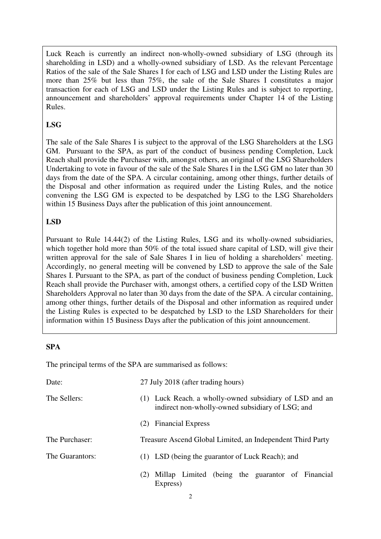Luck Reach is currently an indirect non-wholly-owned subsidiary of LSG (through its shareholding in LSD) and a wholly-owned subsidiary of LSD. As the relevant Percentage Ratios of the sale of the Sale Shares I for each of LSG and LSD under the Listing Rules are more than 25% but less than 75%, the sale of the Sale Shares I constitutes a major transaction for each of LSG and LSD under the Listing Rules and is subject to reporting, announcement and shareholders' approval requirements under Chapter 14 of the Listing Rules.

# **LSG**

The sale of the Sale Shares I is subject to the approval of the LSG Shareholders at the LSG GM. Pursuant to the SPA, as part of the conduct of business pending Completion, Luck Reach shall provide the Purchaser with, amongst others, an original of the LSG Shareholders Undertaking to vote in favour of the sale of the Sale Shares I in the LSG GM no later than 30 days from the date of the SPA. A circular containing, among other things, further details of the Disposal and other information as required under the Listing Rules, and the notice convening the LSG GM is expected to be despatched by LSG to the LSG Shareholders within 15 Business Days after the publication of this joint announcement.

## **LSD**

Pursuant to Rule 14.44(2) of the Listing Rules, LSG and its wholly-owned subsidiaries, which together hold more than 50% of the total issued share capital of LSD, will give their written approval for the sale of Sale Shares I in lieu of holding a shareholders' meeting. Accordingly, no general meeting will be convened by LSD to approve the sale of the Sale Shares I. Pursuant to the SPA, as part of the conduct of business pending Completion, Luck Reach shall provide the Purchaser with, amongst others, a certified copy of the LSD Written Shareholders Approval no later than 30 days from the date of the SPA. A circular containing, among other things, further details of the Disposal and other information as required under the Listing Rules is expected to be despatched by LSD to the LSD Shareholders for their information within 15 Business Days after the publication of this joint announcement.

#### **SPA**

The principal terms of the SPA are summarised as follows:

| Date:           | 27 July 2018 (after trading hours)                                                                          |
|-----------------|-------------------------------------------------------------------------------------------------------------|
| The Sellers:    | (1) Luck Reach, a wholly-owned subsidiary of LSD and an<br>indirect non-wholly-owned subsidiary of LSG; and |
|                 | <b>Financial Express</b><br>(2)                                                                             |
| The Purchaser:  | Treasure Ascend Global Limited, an Independent Third Party                                                  |
| The Guarantors: | (1) LSD (being the guarantor of Luck Reach); and                                                            |
|                 | Millap Limited (being the guarantor of Financial<br>(2)<br>Express)                                         |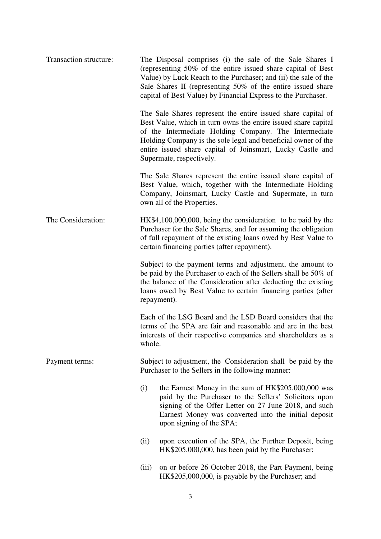| Transaction structure: | The Disposal comprises (i) the sale of the Sale Shares I<br>(representing 50% of the entire issued share capital of Best<br>Value) by Luck Reach to the Purchaser; and (ii) the sale of the<br>Sale Shares II (representing 50% of the entire issued share<br>capital of Best Value) by Financial Express to the Purchaser.                        |
|------------------------|----------------------------------------------------------------------------------------------------------------------------------------------------------------------------------------------------------------------------------------------------------------------------------------------------------------------------------------------------|
|                        | The Sale Shares represent the entire issued share capital of<br>Best Value, which in turn owns the entire issued share capital<br>of the Intermediate Holding Company. The Intermediate<br>Holding Company is the sole legal and beneficial owner of the<br>entire issued share capital of Joinsmart, Lucky Castle and<br>Supermate, respectively. |
|                        | The Sale Shares represent the entire issued share capital of<br>Best Value, which, together with the Intermediate Holding<br>Company, Joinsmart, Lucky Castle and Supermate, in turn<br>own all of the Properties.                                                                                                                                 |
| The Consideration:     | HK\$4,100,000,000, being the consideration to be paid by the<br>Purchaser for the Sale Shares, and for assuming the obligation<br>of full repayment of the existing loans owed by Best Value to<br>certain financing parties (after repayment).                                                                                                    |
|                        | Subject to the payment terms and adjustment, the amount to<br>be paid by the Purchaser to each of the Sellers shall be 50% of<br>the balance of the Consideration after deducting the existing<br>loans owed by Best Value to certain financing parties (after<br>repayment).                                                                      |
|                        | Each of the LSG Board and the LSD Board considers that the<br>terms of the SPA are fair and reasonable and are in the best<br>interests of their respective companies and shareholders as a<br>whole.                                                                                                                                              |
| Payment terms:         | Subject to adjustment, the Consideration shall be paid by the<br>Purchaser to the Sellers in the following manner:                                                                                                                                                                                                                                 |
|                        | (i)<br>the Earnest Money in the sum of HK\$205,000,000 was<br>paid by the Purchaser to the Sellers' Solicitors upon<br>signing of the Offer Letter on 27 June 2018, and such<br>Earnest Money was converted into the initial deposit<br>upon signing of the SPA;                                                                                   |
|                        | (ii)<br>upon execution of the SPA, the Further Deposit, being<br>HK\$205,000,000, has been paid by the Purchaser;                                                                                                                                                                                                                                  |
|                        | on or before 26 October 2018, the Part Payment, being<br>(iii)<br>HK\$205,000,000, is payable by the Purchaser; and                                                                                                                                                                                                                                |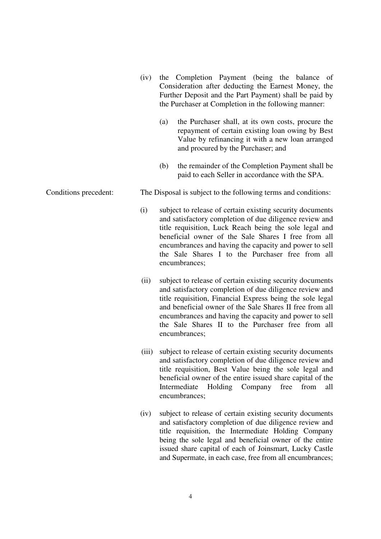- (iv) the Completion Payment (being the balance of Consideration after deducting the Earnest Money, the Further Deposit and the Part Payment) shall be paid by the Purchaser at Completion in the following manner: (a) the Purchaser shall, at its own costs, procure the repayment of certain existing loan owing by Best Value by refinancing it with a new loan arranged and procured by the Purchaser; and (b) the remainder of the Completion Payment shall be paid to each Seller in accordance with the SPA. Conditions precedent: The Disposal is subject to the following terms and conditions: (i) subject to release of certain existing security documents and satisfactory completion of due diligence review and title requisition, Luck Reach being the sole legal and beneficial owner of the Sale Shares I free from all encumbrances and having the capacity and power to sell the Sale Shares I to the Purchaser free from all encumbrances;
	- (ii) subject to release of certain existing security documents and satisfactory completion of due diligence review and title requisition, Financial Express being the sole legal and beneficial owner of the Sale Shares II free from all encumbrances and having the capacity and power to sell the Sale Shares II to the Purchaser free from all encumbrances;
	- (iii) subject to release of certain existing security documents and satisfactory completion of due diligence review and title requisition, Best Value being the sole legal and beneficial owner of the entire issued share capital of the Intermediate Holding Company free from all encumbrances;
	- (iv) subject to release of certain existing security documents and satisfactory completion of due diligence review and title requisition, the Intermediate Holding Company being the sole legal and beneficial owner of the entire issued share capital of each of Joinsmart, Lucky Castle and Supermate, in each case, free from all encumbrances;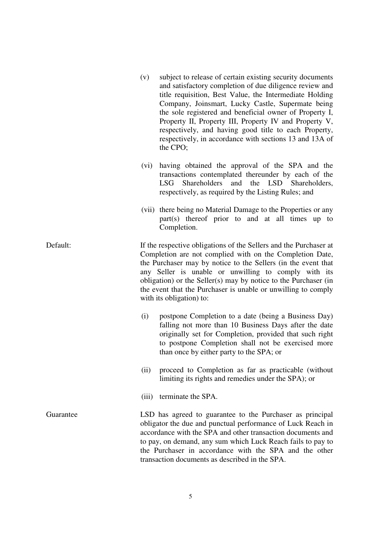|           | subject to release of certain existing security documents<br>(v)<br>and satisfactory completion of due diligence review and<br>title requisition, Best Value, the Intermediate Holding<br>Company, Joinsmart, Lucky Castle, Supermate being<br>the sole registered and beneficial owner of Property I,<br>Property II, Property III, Property IV and Property V,<br>respectively, and having good title to each Property,<br>respectively, in accordance with sections 13 and 13A of<br>the CPO; |
|-----------|--------------------------------------------------------------------------------------------------------------------------------------------------------------------------------------------------------------------------------------------------------------------------------------------------------------------------------------------------------------------------------------------------------------------------------------------------------------------------------------------------|
|           | having obtained the approval of the SPA and the<br>(vi)<br>transactions contemplated thereunder by each of the<br>and the LSD Shareholders,<br>LSG<br>Shareholders<br>respectively, as required by the Listing Rules; and                                                                                                                                                                                                                                                                        |
|           | (vii) there being no Material Damage to the Properties or any<br>part(s) thereof prior to and at all times up to<br>Completion.                                                                                                                                                                                                                                                                                                                                                                  |
| Default:  | If the respective obligations of the Sellers and the Purchaser at<br>Completion are not complied with on the Completion Date,<br>the Purchaser may by notice to the Sellers (in the event that<br>any Seller is unable or unwilling to comply with its<br>obligation) or the Seller(s) may by notice to the Purchaser (in<br>the event that the Purchaser is unable or unwilling to comply<br>with its obligation) to:                                                                           |
|           | (i)<br>postpone Completion to a date (being a Business Day)<br>falling not more than 10 Business Days after the date<br>originally set for Completion, provided that such right<br>to postpone Completion shall not be exercised more<br>than once by either party to the SPA; or                                                                                                                                                                                                                |
|           | proceed to Completion as far as practicable (without<br>(ii)<br>limiting its rights and remedies under the SPA); or                                                                                                                                                                                                                                                                                                                                                                              |
|           | terminate the SPA.<br>(iii)                                                                                                                                                                                                                                                                                                                                                                                                                                                                      |
| Guarantee | LSD has agreed to guarantee to the Purchaser as principal<br>obligator the due and punctual performance of Luck Reach in<br>accordance with the SPA and other transaction documents and<br>to pay, on demand, any sum which Luck Reach fails to pay to<br>the Purchaser in accordance with the SPA and the other<br>transaction documents as described in the SPA.                                                                                                                               |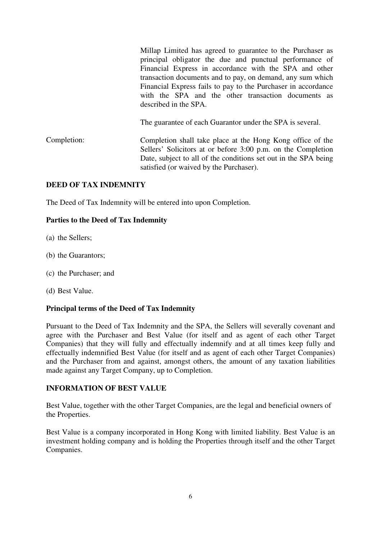Millap Limited has agreed to guarantee to the Purchaser as principal obligator the due and punctual performance of Financial Express in accordance with the SPA and other transaction documents and to pay, on demand, any sum which Financial Express fails to pay to the Purchaser in accordance with the SPA and the other transaction documents as described in the SPA.

The guarantee of each Guarantor under the SPA is several.

Completion: Completion shall take place at the Hong Kong office of the Sellers' Solicitors at or before 3:00 p.m. on the Completion Date, subject to all of the conditions set out in the SPA being satisfied (or waived by the Purchaser).

## **DEED OF TAX INDEMNITY**

The Deed of Tax Indemnity will be entered into upon Completion.

## **Parties to the Deed of Tax Indemnity**

- (a) the Sellers;
- (b) the Guarantors;
- (c) the Purchaser; and
- (d) Best Value.

#### **Principal terms of the Deed of Tax Indemnity**

Pursuant to the Deed of Tax Indemnity and the SPA, the Sellers will severally covenant and agree with the Purchaser and Best Value (for itself and as agent of each other Target Companies) that they will fully and effectually indemnify and at all times keep fully and effectually indemnified Best Value (for itself and as agent of each other Target Companies) and the Purchaser from and against, amongst others, the amount of any taxation liabilities made against any Target Company, up to Completion.

#### **INFORMATION OF BEST VALUE**

Best Value, together with the other Target Companies, are the legal and beneficial owners of the Properties.

Best Value is a company incorporated in Hong Kong with limited liability. Best Value is an investment holding company and is holding the Properties through itself and the other Target Companies.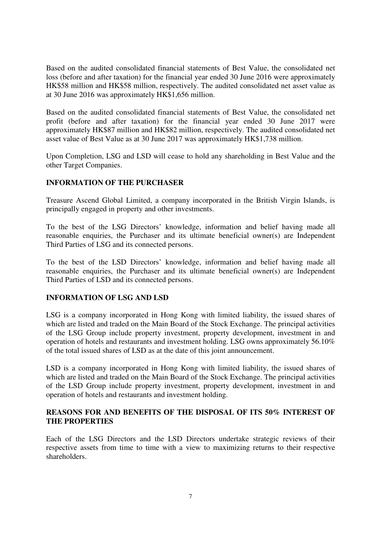Based on the audited consolidated financial statements of Best Value, the consolidated net loss (before and after taxation) for the financial year ended 30 June 2016 were approximately HK\$58 million and HK\$58 million, respectively. The audited consolidated net asset value as at 30 June 2016 was approximately HK\$1,656 million.

Based on the audited consolidated financial statements of Best Value, the consolidated net profit (before and after taxation) for the financial year ended 30 June 2017 were approximately HK\$87 million and HK\$82 million, respectively. The audited consolidated net asset value of Best Value as at 30 June 2017 was approximately HK\$1,738 million.

Upon Completion, LSG and LSD will cease to hold any shareholding in Best Value and the other Target Companies.

## **INFORMATION OF THE PURCHASER**

Treasure Ascend Global Limited, a company incorporated in the British Virgin Islands, is principally engaged in property and other investments.

To the best of the LSG Directors' knowledge, information and belief having made all reasonable enquiries, the Purchaser and its ultimate beneficial owner(s) are Independent Third Parties of LSG and its connected persons.

To the best of the LSD Directors' knowledge, information and belief having made all reasonable enquiries, the Purchaser and its ultimate beneficial owner(s) are Independent Third Parties of LSD and its connected persons.

#### **INFORMATION OF LSG AND LSD**

LSG is a company incorporated in Hong Kong with limited liability, the issued shares of which are listed and traded on the Main Board of the Stock Exchange. The principal activities of the LSG Group include property investment, property development, investment in and operation of hotels and restaurants and investment holding. LSG owns approximately 56.10% of the total issued shares of LSD as at the date of this joint announcement.

LSD is a company incorporated in Hong Kong with limited liability, the issued shares of which are listed and traded on the Main Board of the Stock Exchange. The principal activities of the LSD Group include property investment, property development, investment in and operation of hotels and restaurants and investment holding.

#### **REASONS FOR AND BENEFITS OF THE DISPOSAL OF ITS 50% INTEREST OF THE PROPERTIES**

Each of the LSG Directors and the LSD Directors undertake strategic reviews of their respective assets from time to time with a view to maximizing returns to their respective shareholders.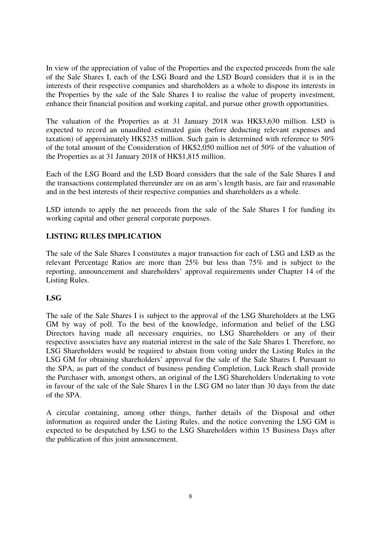In view of the appreciation of value of the Properties and the expected proceeds from the sale of the Sale Shares I, each of the LSG Board and the LSD Board considers that it is in the interests of their respective companies and shareholders as a whole to dispose its interests in the Properties by the sale of the Sale Shares I to realise the value of property investment, enhance their financial position and working capital, and pursue other growth opportunities.

The valuation of the Properties as at 31 January 2018 was HK\$3,630 million. LSD is expected to record an unaudited estimated gain (before deducting relevant expenses and taxation) of approximately HK\$235 million. Such gain is determined with reference to 50% of the total amount of the Consideration of HK\$2,050 million net of 50% of the valuation of the Properties as at 31 January 2018 of HK\$1,815 million.

Each of the LSG Board and the LSD Board considers that the sale of the Sale Shares I and the transactions contemplated thereunder are on an arm's length basis, are fair and reasonable and in the best interests of their respective companies and shareholders as a whole.

LSD intends to apply the net proceeds from the sale of the Sale Shares I for funding its working capital and other general corporate purposes.

# **LISTING RULES IMPLICATION**

The sale of the Sale Shares I constitutes a major transaction for each of LSG and LSD as the relevant Percentage Ratios are more than 25% but less than 75% and is subject to the reporting, announcement and shareholders' approval requirements under Chapter 14 of the Listing Rules.

# **LSG**

The sale of the Sale Shares I is subject to the approval of the LSG Shareholders at the LSG GM by way of poll. To the best of the knowledge, information and belief of the LSG Directors having made all necessary enquiries, no LSG Shareholders or any of their respective associates have any material interest in the sale of the Sale Shares I. Therefore, no LSG Shareholders would be required to abstain from voting under the Listing Rules in the LSG GM for obtaining shareholders' approval for the sale of the Sale Shares I. Pursuant to the SPA, as part of the conduct of business pending Completion, Luck Reach shall provide the Purchaser with, amongst others, an original of the LSG Shareholders Undertaking to vote in favour of the sale of the Sale Shares I in the LSG GM no later than 30 days from the date of the SPA.

A circular containing, among other things, further details of the Disposal and other information as required under the Listing Rules, and the notice convening the LSG GM is expected to be despatched by LSG to the LSG Shareholders within 15 Business Days after the publication of this joint announcement.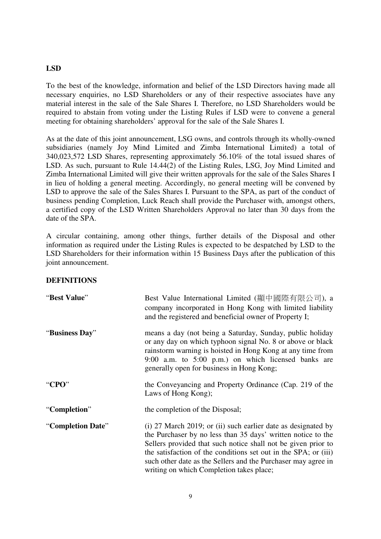## **LSD**

To the best of the knowledge, information and belief of the LSD Directors having made all necessary enquiries, no LSD Shareholders or any of their respective associates have any material interest in the sale of the Sale Shares I. Therefore, no LSD Shareholders would be required to abstain from voting under the Listing Rules if LSD were to convene a general meeting for obtaining shareholders' approval for the sale of the Sale Shares I.

As at the date of this joint announcement, LSG owns, and controls through its wholly-owned subsidiaries (namely Joy Mind Limited and Zimba International Limited) a total of 340,023,572 LSD Shares, representing approximately 56.10% of the total issued shares of LSD. As such, pursuant to Rule 14.44(2) of the Listing Rules, LSG, Joy Mind Limited and Zimba International Limited will give their written approvals for the sale of the Sales Shares I in lieu of holding a general meeting. Accordingly, no general meeting will be convened by LSD to approve the sale of the Sales Shares I. Pursuant to the SPA, as part of the conduct of business pending Completion, Luck Reach shall provide the Purchaser with, amongst others, a certified copy of the LSD Written Shareholders Approval no later than 30 days from the date of the SPA.

A circular containing, among other things, further details of the Disposal and other information as required under the Listing Rules is expected to be despatched by LSD to the LSD Shareholders for their information within 15 Business Days after the publication of this joint announcement.

#### **DEFINITIONS**

| "Best Value"      | Best Value International Limited (顯中國際有限公司), a<br>company incorporated in Hong Kong with limited liability<br>and the registered and beneficial owner of Property I;                                                                                                                                                                                                               |
|-------------------|------------------------------------------------------------------------------------------------------------------------------------------------------------------------------------------------------------------------------------------------------------------------------------------------------------------------------------------------------------------------------------|
| "Business Day"    | means a day (not being a Saturday, Sunday, public holiday<br>or any day on which typhoon signal No. 8 or above or black<br>rainstorm warning is hoisted in Hong Kong at any time from<br>9:00 a.m. to $5:00$ p.m.) on which licensed banks are<br>generally open for business in Hong Kong;                                                                                        |
| "CPO"             | the Conveyancing and Property Ordinance (Cap. 219 of the<br>Laws of Hong Kong);                                                                                                                                                                                                                                                                                                    |
| "Completion"      | the completion of the Disposal;                                                                                                                                                                                                                                                                                                                                                    |
| "Completion Date" | $(i)$ 27 March 2019; or $(ii)$ such earlier date as designated by<br>the Purchaser by no less than 35 days' written notice to the<br>Sellers provided that such notice shall not be given prior to<br>the satisfaction of the conditions set out in the SPA; or (iii)<br>such other date as the Sellers and the Purchaser may agree in<br>writing on which Completion takes place; |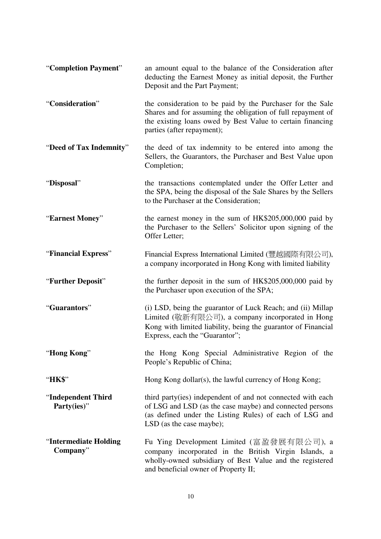| "Completion Payment"               | an amount equal to the balance of the Consideration after<br>deducting the Earnest Money as initial deposit, the Further<br>Deposit and the Part Payment;                                                             |
|------------------------------------|-----------------------------------------------------------------------------------------------------------------------------------------------------------------------------------------------------------------------|
| "Consideration"                    | the consideration to be paid by the Purchaser for the Sale<br>Shares and for assuming the obligation of full repayment of<br>the existing loans owed by Best Value to certain financing<br>parties (after repayment); |
| "Deed of Tax Indemnity"            | the deed of tax indemnity to be entered into among the<br>Sellers, the Guarantors, the Purchaser and Best Value upon<br>Completion;                                                                                   |
| "Disposal"                         | the transactions contemplated under the Offer Letter and<br>the SPA, being the disposal of the Sale Shares by the Sellers<br>to the Purchaser at the Consideration;                                                   |
| "Earnest Money"                    | the earnest money in the sum of HK\$205,000,000 paid by<br>the Purchaser to the Sellers' Solicitor upon signing of the<br>Offer Letter;                                                                               |
| "Financial Express"                | Financial Express International Limited (豐越國際有限公司),<br>a company incorporated in Hong Kong with limited liability                                                                                                     |
| "Further Deposit"                  | the further deposit in the sum of HK\$205,000,000 paid by<br>the Purchaser upon execution of the SPA;                                                                                                                 |
| "Guarantors"                       | (i) LSD, being the guarantor of Luck Reach; and (ii) Millap<br>Limited (敬新有限公司), a company incorporated in Hong<br>Kong with limited liability, being the guarantor of Financial<br>Express, each the "Guarantor";    |
| "Hong Kong"                        | the Hong Kong Special Administrative Region of the<br>People's Republic of China;                                                                                                                                     |
| "HK\$"                             | Hong Kong dollar(s), the lawful currency of Hong Kong;                                                                                                                                                                |
| "Independent Third<br>Party(ies)"  | third party (ies) independent of and not connected with each<br>of LSG and LSD (as the case maybe) and connected persons<br>(as defined under the Listing Rules) of each of LSG and<br>LSD (as the case maybe);       |
| "Intermediate Holding"<br>Company" | Fu Ying Development Limited (富盈發展有限公司), a<br>company incorporated in the British Virgin Islands, a<br>wholly-owned subsidiary of Best Value and the registered<br>and beneficial owner of Property II;                |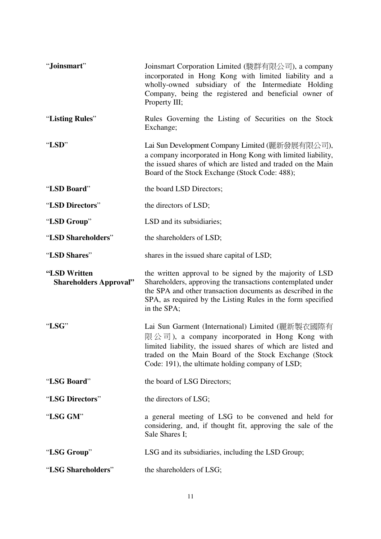| "Joinsmart"                                   | Joinsmart Corporation Limited (駿群有限公司), a company<br>incorporated in Hong Kong with limited liability and a<br>wholly-owned subsidiary of the Intermediate Holding<br>Company, being the registered and beneficial owner of<br>Property III;                                    |
|-----------------------------------------------|---------------------------------------------------------------------------------------------------------------------------------------------------------------------------------------------------------------------------------------------------------------------------------|
| "Listing Rules"                               | Rules Governing the Listing of Securities on the Stock<br>Exchange;                                                                                                                                                                                                             |
| "LSD"                                         | Lai Sun Development Company Limited (麗新發展有限公司),<br>a company incorporated in Hong Kong with limited liability,<br>the issued shares of which are listed and traded on the Main<br>Board of the Stock Exchange (Stock Code: 488);                                                |
| "LSD Board"                                   | the board LSD Directors;                                                                                                                                                                                                                                                        |
| "LSD Directors"                               | the directors of LSD;                                                                                                                                                                                                                                                           |
| "LSD Group"                                   | LSD and its subsidiaries;                                                                                                                                                                                                                                                       |
| "LSD Shareholders"                            | the shareholders of LSD;                                                                                                                                                                                                                                                        |
| "LSD Shares"                                  | shares in the issued share capital of LSD;                                                                                                                                                                                                                                      |
| "LSD Written<br><b>Shareholders Approval"</b> | the written approval to be signed by the majority of LSD<br>Shareholders, approving the transactions contemplated under<br>the SPA and other transaction documents as described in the<br>SPA, as required by the Listing Rules in the form specified<br>in the SPA;            |
| "LSG"                                         | Lai Sun Garment (International) Limited (麗新製衣國際有<br>限公司), a company incorporated in Hong Kong with<br>limited liability, the issued shares of which are listed and<br>traded on the Main Board of the Stock Exchange (Stock<br>Code: 191), the ultimate holding company of LSD; |
| "LSG Board"                                   | the board of LSG Directors;                                                                                                                                                                                                                                                     |
|                                               |                                                                                                                                                                                                                                                                                 |
| "LSG Directors"                               | the directors of LSG;                                                                                                                                                                                                                                                           |
| "LSG GM"                                      | a general meeting of LSG to be convened and held for<br>considering, and, if thought fit, approving the sale of the<br>Sale Shares I;                                                                                                                                           |
| "LSG Group"                                   | LSG and its subsidiaries, including the LSD Group;                                                                                                                                                                                                                              |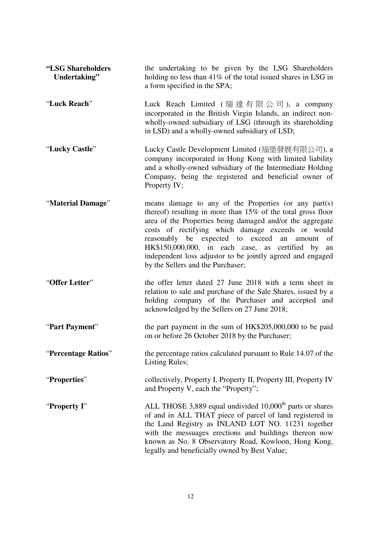| "LSG Shareholders<br>Undertaking" | the undertaking to be given by the LSG Shareholders<br>holding no less than $41\%$ of the total issued shares in LSG in<br>a form specified in the SPA;                                                                                                                                                                                                                                                                                                         |
|-----------------------------------|-----------------------------------------------------------------------------------------------------------------------------------------------------------------------------------------------------------------------------------------------------------------------------------------------------------------------------------------------------------------------------------------------------------------------------------------------------------------|
| "Luck Reach"                      | Luck Reach Limited (瑞達有限公司), a company<br>incorporated in the British Virgin Islands, an indirect non-<br>wholly-owned subsidiary of LSG (through its shareholding<br>in LSD) and a wholly-owned subsidiary of LSD;                                                                                                                                                                                                                                             |
| "Lucky Castle"                    | Lucky Castle Development Limited (福堡發展有限公司), a<br>company incorporated in Hong Kong with limited liability<br>and a wholly-owned subsidiary of the Intermediate Holding<br>Company, being the registered and beneficial owner of<br>Property IV;                                                                                                                                                                                                                |
| "Material Damage"                 | means damage to any of the Properties (or any part(s)<br>thereof) resulting in more than $15\%$ of the total gross floor<br>area of the Properties being damaged and/or the aggregate<br>costs of rectifying which damage exceeds or would<br>reasonably be expected to exceed<br>an<br>amount<br>of<br>HK\$150,000,000, in each case, as certified by<br>an<br>independent loss adjustor to be jointly agreed and engaged<br>by the Sellers and the Purchaser; |
| "Offer Letter"                    | the offer letter dated 27 June 2018 with a term sheet in<br>relation to sale and purchase of the Sale Shares, issued by a<br>holding company of the Purchaser and accepted and<br>acknowledged by the Sellers on 27 June 2018;                                                                                                                                                                                                                                  |
| "Part Payment"                    | the part payment in the sum of HK\$205,000,000 to be paid<br>on or before 26 October 2018 by the Purchaser;                                                                                                                                                                                                                                                                                                                                                     |
| "Percentage Ratios"               | the percentage ratios calculated pursuant to Rule 14.07 of the<br><b>Listing Rules;</b>                                                                                                                                                                                                                                                                                                                                                                         |
| "Properties"                      | collectively, Property I, Property II, Property III, Property IV<br>and Property V, each the "Property";                                                                                                                                                                                                                                                                                                                                                        |
| "Property I"                      | ALL THOSE 3,889 equal undivided 10,000 <sup>th</sup> parts or shares<br>of and in ALL THAT piece of parcel of land registered in<br>the Land Registry as INLAND LOT NO. 11231 together<br>with the messuages erections and buildings thereon now<br>known as No. 8 Observatory Road, Kowloon, Hong Kong,<br>legally and beneficially owned by Best Value;                                                                                                       |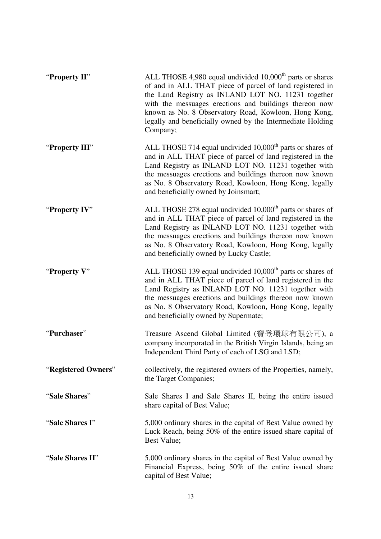| "Property II"       | ALL THOSE 4,980 equal undivided 10,000 <sup>th</sup> parts or shares<br>of and in ALL THAT piece of parcel of land registered in<br>the Land Registry as INLAND LOT NO. 11231 together<br>with the messuages erections and buildings thereon now<br>known as No. 8 Observatory Road, Kowloon, Hong Kong,<br>legally and beneficially owned by the Intermediate Holding<br>Company; |
|---------------------|------------------------------------------------------------------------------------------------------------------------------------------------------------------------------------------------------------------------------------------------------------------------------------------------------------------------------------------------------------------------------------|
| "Property III"      | ALL THOSE 714 equal undivided $10,000th$ parts or shares of<br>and in ALL THAT piece of parcel of land registered in the<br>Land Registry as INLAND LOT NO. 11231 together with<br>the messuages erections and buildings thereon now known<br>as No. 8 Observatory Road, Kowloon, Hong Kong, legally<br>and beneficially owned by Joinsmart;                                       |
| "Property IV"       | ALL THOSE 278 equal undivided $10,000th$ parts or shares of<br>and in ALL THAT piece of parcel of land registered in the<br>Land Registry as INLAND LOT NO. 11231 together with<br>the messuages erections and buildings thereon now known<br>as No. 8 Observatory Road, Kowloon, Hong Kong, legally<br>and beneficially owned by Lucky Castle;                                    |
| "Property V"        | ALL THOSE 139 equal undivided $10,000th$ parts or shares of<br>and in ALL THAT piece of parcel of land registered in the<br>Land Registry as INLAND LOT NO. 11231 together with<br>the messuages erections and buildings thereon now known<br>as No. 8 Observatory Road, Kowloon, Hong Kong, legally<br>and beneficially owned by Supermate;                                       |
| "Purchaser"         | Treasure Ascend Global Limited (寶登環球有限公司), a<br>company incorporated in the British Virgin Islands, being an<br>Independent Third Party of each of LSG and LSD;                                                                                                                                                                                                                    |
| "Registered Owners" | collectively, the registered owners of the Properties, namely,<br>the Target Companies;                                                                                                                                                                                                                                                                                            |
| "Sale Shares"       | Sale Shares I and Sale Shares II, being the entire issued<br>share capital of Best Value;                                                                                                                                                                                                                                                                                          |
| "Sale Shares I"     | 5,000 ordinary shares in the capital of Best Value owned by<br>Luck Reach, being 50% of the entire issued share capital of<br>Best Value;                                                                                                                                                                                                                                          |
| "Sale Shares II"    | 5,000 ordinary shares in the capital of Best Value owned by<br>Financial Express, being 50% of the entire issued share<br>capital of Best Value;                                                                                                                                                                                                                                   |